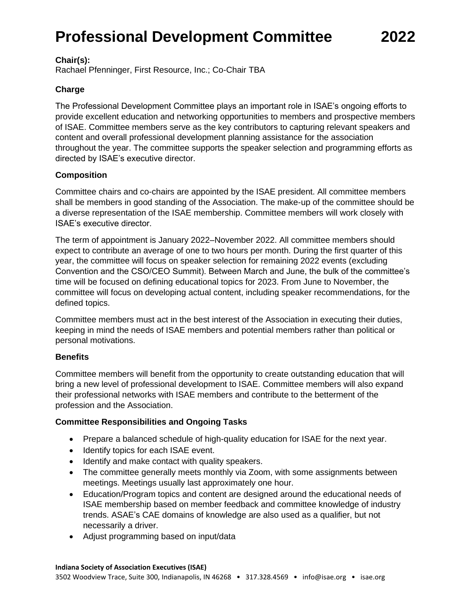# **Professional Development Committee 2022**

#### **Chair(s):**

Rachael Pfenninger, First Resource, Inc.; Co-Chair TBA

### **Charge**

The Professional Development Committee plays an important role in ISAE's ongoing efforts to provide excellent education and networking opportunities to members and prospective members of ISAE. Committee members serve as the key contributors to capturing relevant speakers and content and overall professional development planning assistance for the association throughout the year. The committee supports the speaker selection and programming efforts as directed by ISAE's executive director.

### **Composition**

Committee chairs and co-chairs are appointed by the ISAE president. All committee members shall be members in good standing of the Association. The make-up of the committee should be a diverse representation of the ISAE membership. Committee members will work closely with ISAE's executive director.

The term of appointment is January 2022–November 2022. All committee members should expect to contribute an average of one to two hours per month. During the first quarter of this year, the committee will focus on speaker selection for remaining 2022 events (excluding Convention and the CSO/CEO Summit). Between March and June, the bulk of the committee's time will be focused on defining educational topics for 2023. From June to November, the committee will focus on developing actual content, including speaker recommendations, for the defined topics.

Committee members must act in the best interest of the Association in executing their duties, keeping in mind the needs of ISAE members and potential members rather than political or personal motivations.

### **Benefits**

Committee members will benefit from the opportunity to create outstanding education that will bring a new level of professional development to ISAE. Committee members will also expand their professional networks with ISAE members and contribute to the betterment of the profession and the Association.

### **Committee Responsibilities and Ongoing Tasks**

- Prepare a balanced schedule of high-quality education for ISAE for the next year.
- Identify topics for each ISAE event.
- Identify and make contact with quality speakers.
- The committee generally meets monthly via Zoom, with some assignments between meetings. Meetings usually last approximately one hour.
- Education/Program topics and content are designed around the educational needs of ISAE membership based on member feedback and committee knowledge of industry trends. ASAE's CAE domains of knowledge are also used as a qualifier, but not necessarily a driver.
- Adjust programming based on input/data